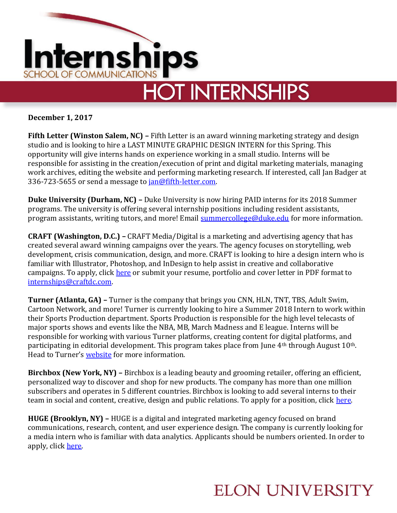

**December 1, 2017**

**Fifth Letter (Winston Salem, NC) – Fifth Letter is an award winning marketing strategy and design** studio and is looking to hire a LAST MINUTE GRAPHIC DESIGN INTERN for this Spring. This opportunity will give interns hands on experience working in a small studio. Interns will be responsible for assisting in the creation/execution of print and digital marketing materials, managing work archives, editing the website and performing marketing research. If interested, call Jan Badger at 336-723-5655 or send a message to [jan@fifth-letter.com.](mailto:jan@fifth-letter.com)

**Duke University (Durham, NC) –** Duke University is now hiring PAID interns for its 2018 Summer programs. The university is offering several internship positions including resident assistants, program assistants, writing tutors, and more! Email [summercollege@duke.edu](mailto:summercollege@duke.edu) for more information.

**CRAFT (Washington, D.C.) –** CRAFT Media/Digital is a marketing and advertising agency that has created several award winning campaigns over the years. The agency focuses on storytelling, web development, crisis communication, design, and more. CRAFT is looking to hire a design intern who is familiar with Illustrator, Photoshop, and InDesign to help assist in creative and collaborative campaigns. To apply, click [here](http://craftdc.com/careers/design-internship/) or submit your resume, portfolio and cover letter in PDF format to [internships@craftdc.com.](mailto:internships@craftdc.com)

**Turner (Atlanta, GA) –** Turner is the company that brings you CNN, HLN, TNT, TBS, Adult Swim, Cartoon Network, and more! Turner is currently looking to hire a Summer 2018 Intern to work within their Sports Production department. Sports Production is responsible for the high level telecasts of major sports shows and events like the NBA, MB, March Madness and E league. Interns will be responsible for working with various Turner platforms, creating content for digital platforms, and participating in editorial development. This program takes place from June 4<sup>th</sup> through August 10<sup>th</sup>. Head to Turner's [website](https://www.turnerjobs.com/job/atlanta/summer-2018-intern-sports-production/1174/6226511) for more information.

**Birchbox (New York, NY) –** Birchbox is a leading beauty and grooming retailer, offering an efficient, personalized way to discover and shop for new products. The company has more than one million subscribers and operates in 5 different countries. Birchbox is looking to add several interns to their team in social and content, creative, design and public relations. To apply for a position, click [here.](https://www.birchbox.com/about/openings)

**HUGE (Brooklyn, NY) –** HUGE is a digital and integrated marketing agency focused on brand communications, research, content, and user experience design. The company is currently looking for a media intern who is familiar with data analytics. Applicants should be numbers oriented. In order to apply, click [here.](http://www.hugeinc.com/careers/media/brooklyn/intern-media?gh_jid=756457)

## **ELON UNIVERSITY**